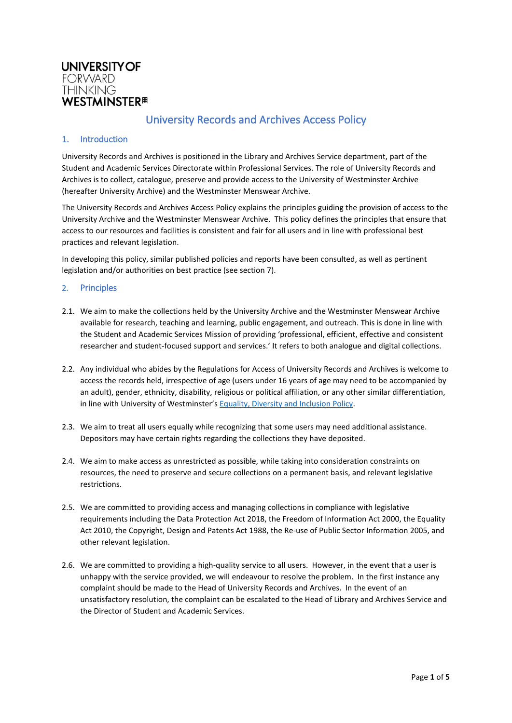

# University Records and Archives Access Policy

## 1. Introduction

University Records and Archives is positioned in the Library and Archives Service department, part of the Student and Academic Services Directorate within Professional Services. The role of University Records and Archives is to collect, catalogue, preserve and provide access to the University of Westminster Archive (hereafter University Archive) and the Westminster Menswear Archive.

The University Records and Archives Access Policy explains the principles guiding the provision of access to the University Archive and the Westminster Menswear Archive. This policy defines the principles that ensure that access to our resources and facilities is consistent and fair for all users and in line with professional best practices and relevant legislation.

In developing this policy, similar published policies and reports have been consulted, as well as pertinent legislation and/or authorities on best practice (see section 7).

#### 2. Principles

- 2.1. We aim to make the collections held by the University Archive and the Westminster Menswear Archive available for research, teaching and learning, public engagement, and outreach. This is done in line with the Student and Academic Services Mission of providing 'professional, efficient, effective and consistent researcher and student-focused support and services.' It refers to both analogue and digital collections.
- 2.2. Any individual who abides by the Regulations for Access of University Records and Archives is welcome to access the records held, irrespective of age (users under 16 years of age may need to be accompanied by an adult), gender, ethnicity, disability, religious or political affiliation, or any other similar differentiation, in line with University of Westminster'[s Equality, Diversity and Inclusion Policy.](https://www.westminster.ac.uk/sites/default/public-files/general-documents/equality-diversity-and-inclusion-policy.pdf)
- 2.3. We aim to treat all users equally while recognizing that some users may need additional assistance. Depositors may have certain rights regarding the collections they have deposited.
- 2.4. We aim to make access as unrestricted as possible, while taking into consideration constraints on resources, the need to preserve and secure collections on a permanent basis, and relevant legislative restrictions.
- 2.5. We are committed to providing access and managing collections in compliance with legislative requirements including the Data Protection Act 2018, the Freedom of Information Act 2000, the Equality Act 2010, the Copyright, Design and Patents Act 1988, the Re-use of Public Sector Information 2005, and other relevant legislation.
- 2.6. We are committed to providing a high-quality service to all users. However, in the event that a user is unhappy with the service provided, we will endeavour to resolve the problem. In the first instance any complaint should be made to the Head of University Records and Archives. In the event of an unsatisfactory resolution, the complaint can be escalated to the Head of Library and Archives Service and the Director of Student and Academic Services.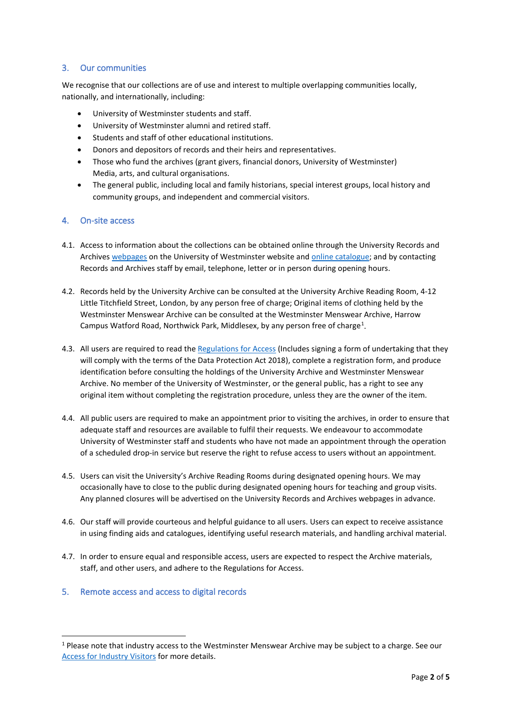# 3. Our communities

We recognise that our collections are of use and interest to multiple overlapping communities locally, nationally, and internationally, including:

- University of Westminster students and staff.
- University of Westminster alumni and retired staff.
- Students and staff of other educational institutions.
- Donors and depositors of records and their heirs and representatives.
- Those who fund the archives (grant givers, financial donors, University of Westminster) Media, arts, and cultural organisations.
- The general public, including local and family historians, special interest groups, local history and community groups, and independent and commercial visitors.

## 4. On-site access

- 4.1. Access to information about the collections can be obtained online through the University Records and Archives [webpages](http://recordsandarchives.westminster.ac.uk/) on the University of Westminster website an[d online catalogue;](https://westminster-atom.arkivum.net/index.php/) and by contacting Records and Archives staff by email, telephone, letter or in person during opening hours.
- 4.2. Records held by the University Archive can be consulted at the University Archive Reading Room, 4-12 Little Titchfield Street, London, by any person free of charge; Original items of clothing held by the Westminster Menswear Archive can be consulted at the Westminster Menswear Archive, Harrow Campus Watford Road, Northwick Park, Middlesex, by any person free of charge<sup>[1](#page-1-0)</sup>.
- 4.3. All users are required to read the [Regulations for Access](https://blog.westminster.ac.uk/recordsandarchives/wp-content/uploads/sites/42/2021/11/Regulations-for-accessUPDATE-Oct2021.pdf) (Includes signing a form of undertaking that they will comply with the terms of the Data Protection Act 2018), complete a registration form, and produce identification before consulting the holdings of the University Archive and Westminster Menswear Archive. No member of the University of Westminster, or the general public, has a right to see any original item without completing the registration procedure, unless they are the owner of the item.
- 4.4. All public users are required to make an appointment prior to visiting the archives, in order to ensure that adequate staff and resources are available to fulfil their requests. We endeavour to accommodate University of Westminster staff and students who have not made an appointment through the operation of a scheduled drop-in service but reserve the right to refuse access to users without an appointment.
- 4.5. Users can visit the University's Archive Reading Rooms during designated opening hours. We may occasionally have to close to the public during designated opening hours for teaching and group visits. Any planned closures will be advertised on the University Records and Archives webpages in advance.
- 4.6. Our staff will provide courteous and helpful guidance to all users. Users can expect to receive assistance in using finding aids and catalogues, identifying useful research materials, and handling archival material.
- 4.7. In order to ensure equal and responsible access, users are expected to respect the Archive materials, staff, and other users, and adhere to the Regulations for Access.
- 5. Remote access and access to digital records

<span id="page-1-0"></span> $1$  Please note that industry access to the Westminster Menswear Archive may be subject to a charge. See our [Access for Industry Visitors](https://www.mensweararchive.com/industry-visitors) for more details.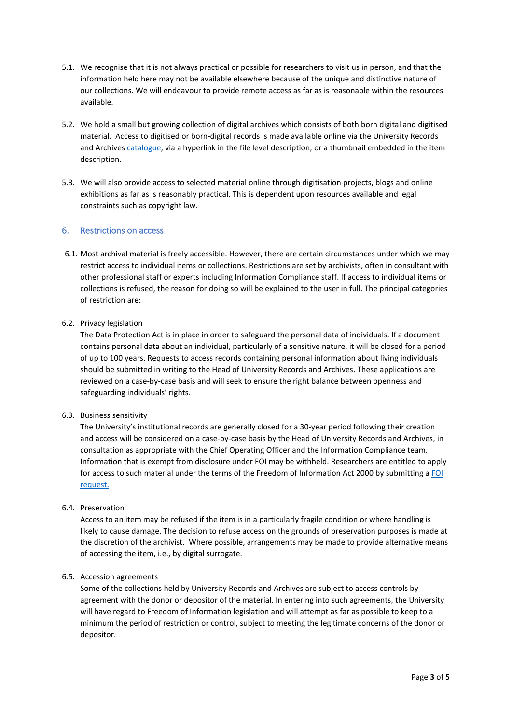- 5.1. We recognise that it is not always practical or possible for researchers to visit us in person, and that the information held here may not be available elsewhere because of the unique and distinctive nature of our collections. We will endeavour to provide remote access as far as is reasonable within the resources available.
- 5.2. We hold a small but growing collection of digital archives which consists of both born digital and digitised material. Access to digitised or born-digital records is made available online via the University Records and Archives [catalogue,](https://westminster-atom.arkivum.net/index.php/) via a hyperlink in the file level description, or a thumbnail embedded in the item description.
- 5.3. We will also provide access to selected material online through digitisation projects, blogs and online exhibitions as far as is reasonably practical. This is dependent upon resources available and legal constraints such as copyright law.

## 6. Restrictions on access

6.1. Most archival material is freely accessible. However, there are certain circumstances under which we may restrict access to individual items or collections. Restrictions are set by archivists, often in consultant with other professional staff or experts including Information Compliance staff. If access to individual items or collections is refused, the reason for doing so will be explained to the user in full. The principal categories of restriction are:

#### 6.2. Privacy legislation

The Data Protection Act is in place in order to safeguard the personal data of individuals. If a document contains personal data about an individual, particularly of a sensitive nature, it will be closed for a period of up to 100 years. Requests to access records containing personal information about living individuals should be submitted in writing to the Head of University Records and Archives. These applications are reviewed on a case-by-case basis and will seek to ensure the right balance between openness and safeguarding individuals' rights.

#### 6.3. Business sensitivity

The University's institutional records are generally closed for a 30-year period following their creation and access will be considered on a case-by-case basis by the Head of University Records and Archives, in consultation as appropriate with the Chief Operating Officer and the Information Compliance team. Information that is exempt from disclosure under FOI may be withheld. Researchers are entitled to apply for access to such material under the terms of the Freedom of Information Act 2000 by submitting a [FOI](https://www.westminster.ac.uk/about-us/our-university/corporate-information/information-compliance-records-management-and-information-security/freedom-of-information)  [request.](https://www.westminster.ac.uk/about-us/our-university/corporate-information/information-compliance-records-management-and-information-security/freedom-of-information)

#### 6.4. Preservation

Access to an item may be refused if the item is in a particularly fragile condition or where handling is likely to cause damage. The decision to refuse access on the grounds of preservation purposes is made at the discretion of the archivist. Where possible, arrangements may be made to provide alternative means of accessing the item, i.e., by digital surrogate.

#### 6.5. Accession agreements

Some of the collections held by University Records and Archives are subject to access controls by agreement with the donor or depositor of the material. In entering into such agreements, the University will have regard to Freedom of Information legislation and will attempt as far as possible to keep to a minimum the period of restriction or control, subject to meeting the legitimate concerns of the donor or depositor.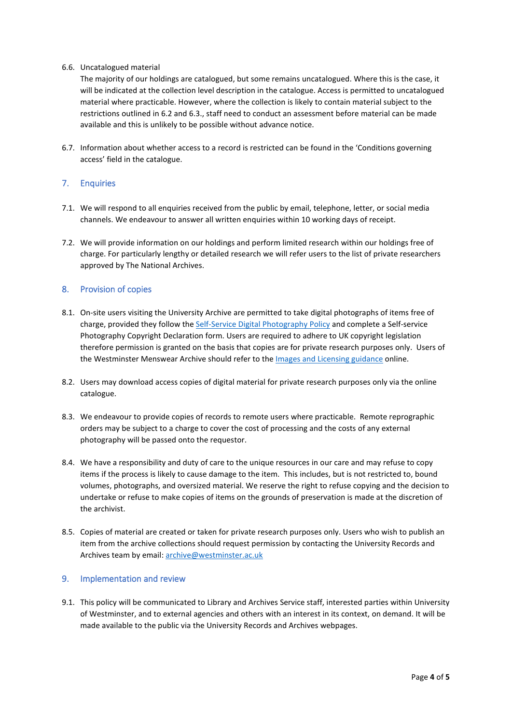#### 6.6. Uncatalogued material

The majority of our holdings are catalogued, but some remains uncatalogued. Where this is the case, it will be indicated at the collection level description in the catalogue. Access is permitted to uncatalogued material where practicable. However, where the collection is likely to contain material subject to the restrictions outlined in 6.2 and 6.3., staff need to conduct an assessment before material can be made available and this is unlikely to be possible without advance notice.

6.7. Information about whether access to a record is restricted can be found in the 'Conditions governing access' field in the catalogue.

# 7. Enquiries

- 7.1. We will respond to all enquiries received from the public by email, telephone, letter, or social media channels. We endeavour to answer all written enquiries within 10 working days of receipt.
- 7.2. We will provide information on our holdings and perform limited research within our holdings free of charge. For particularly lengthy or detailed research we will refer users to the list of private researchers approved by The National Archives.

#### 8. Provision of copies

- 8.1. On-site users visiting the University Archive are permitted to take digital photographs of items free of charge, provided they follow the [Self-Service Digital Photography](https://blog.westminster.ac.uk/recordsandarchives/wp-content/uploads/sites/42/2021/11/URA-self-service-photography-policy-UPDATE-Oct2021.pdf) Policy and complete a Self-service Photography Copyright Declaration form. Users are required to adhere to UK copyright legislation therefore permission is granted on the basis that copies are for private research purposes only. Users of the Westminster Menswear Archive should refer to th[e Images and Licensing guidance](https://www.mensweararchive.com/contact) online.
- 8.2. Users may download access copies of digital material for private research purposes only via the online catalogue.
- 8.3. We endeavour to provide copies of records to remote users where practicable. Remote reprographic orders may be subject to a charge to cover the cost of processing and the costs of any external photography will be passed onto the requestor.
- 8.4. We have a responsibility and duty of care to the unique resources in our care and may refuse to copy items if the process is likely to cause damage to the item. This includes, but is not restricted to, bound volumes, photographs, and oversized material. We reserve the right to refuse copying and the decision to undertake or refuse to make copies of items on the grounds of preservation is made at the discretion of the archivist.
- 8.5. Copies of material are created or taken for private research purposes only. Users who wish to publish an item from the archive collections should request permission by contacting the University Records and Archives team by email: [archive@westminster.ac.uk](mailto:archive@westminster.ac.uk)

#### 9. Implementation and review

9.1. This policy will be communicated to Library and Archives Service staff, interested parties within University of Westminster, and to external agencies and others with an interest in its context, on demand. It will be made available to the public via the University Records and Archives webpages.